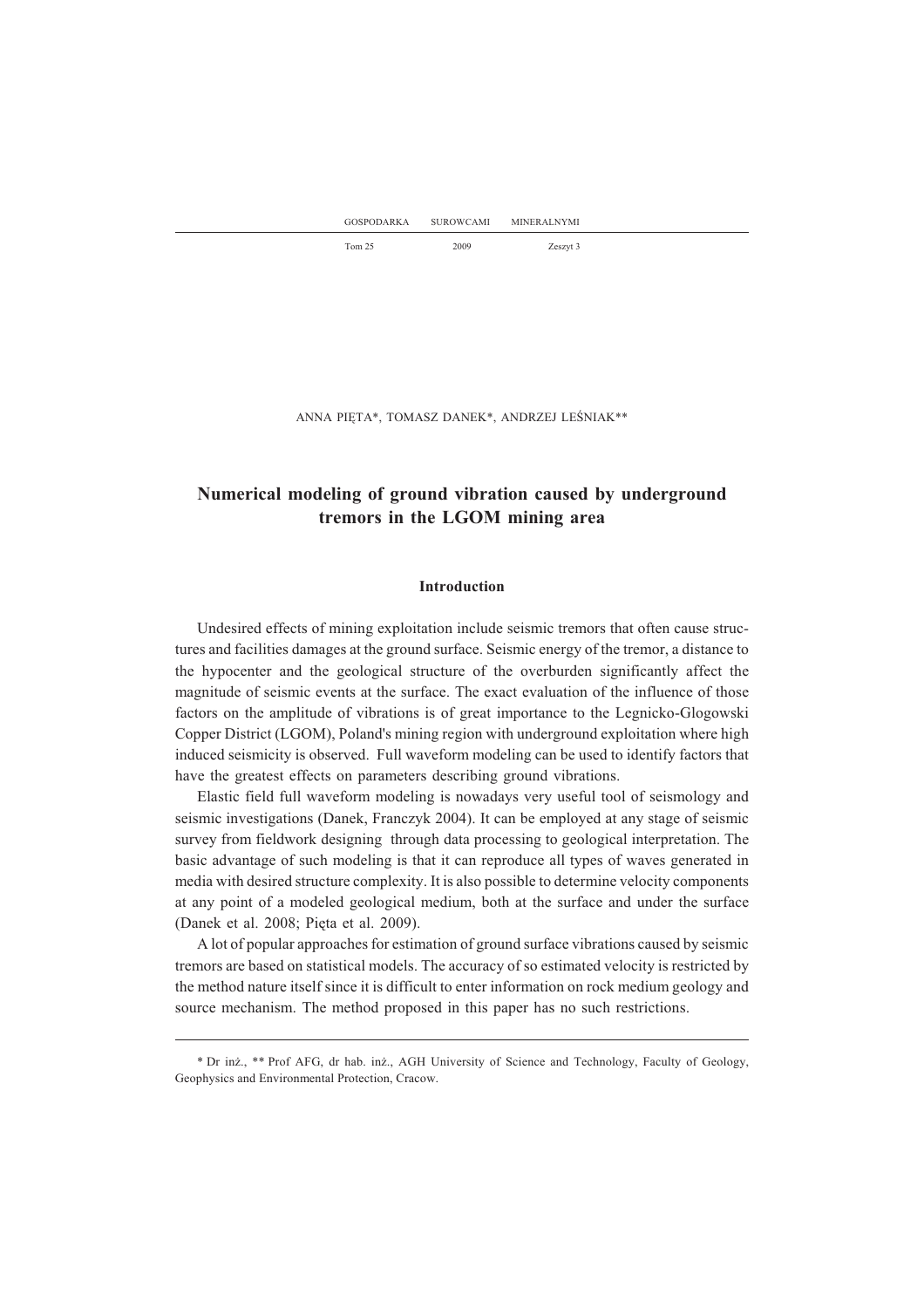ANNA PIĘTA\*, TOMASZ DANEK\*, ANDRZEJ LEŚNIAK\*\*

# **Numerical modeling of ground vibration caused by underground tremors in the LGOM mining area**

### **Introduction**

Undesired effects of mining exploitation include seismic tremors that often cause structures and facilities damages at the ground surface. Seismic energy of the tremor, a distance to the hypocenter and the geological structure of the overburden significantly affect the magnitude of seismic events at the surface. The exact evaluation of the influence of those factors on the amplitude of vibrations is of great importance to the Legnicko-Glogowski Copper District (LGOM), Poland's mining region with underground exploitation where high induced seismicity is observed. Full waveform modeling can be used to identify factors that have the greatest effects on parameters describing ground vibrations.

Elastic field full waveform modeling is nowadays very useful tool of seismology and seismic investigations (Danek, Franczyk 2004). It can be employed at any stage of seismic survey from fieldwork designing through data processing to geological interpretation. The basic advantage of such modeling is that it can reproduce all types of waves generated in media with desired structure complexity. It is also possible to determine velocity components at any point of a modeled geological medium, both at the surface and under the surface (Danek et al. 2008; Pięta et al. 2009).

A lot of popular approaches for estimation of ground surface vibrations caused by seismic tremors are based on statistical models. The accuracy of so estimated velocity is restricted by the method nature itself since it is difficult to enter information on rock medium geology and source mechanism. The method proposed in this paper has no such restrictions.

<sup>\*</sup> Dr in¿., \*\* Prof AFG, dr hab. in¿., AGH University of Science and Technology, Faculty of Geology, Geophysics and Environmental Protection, Cracow.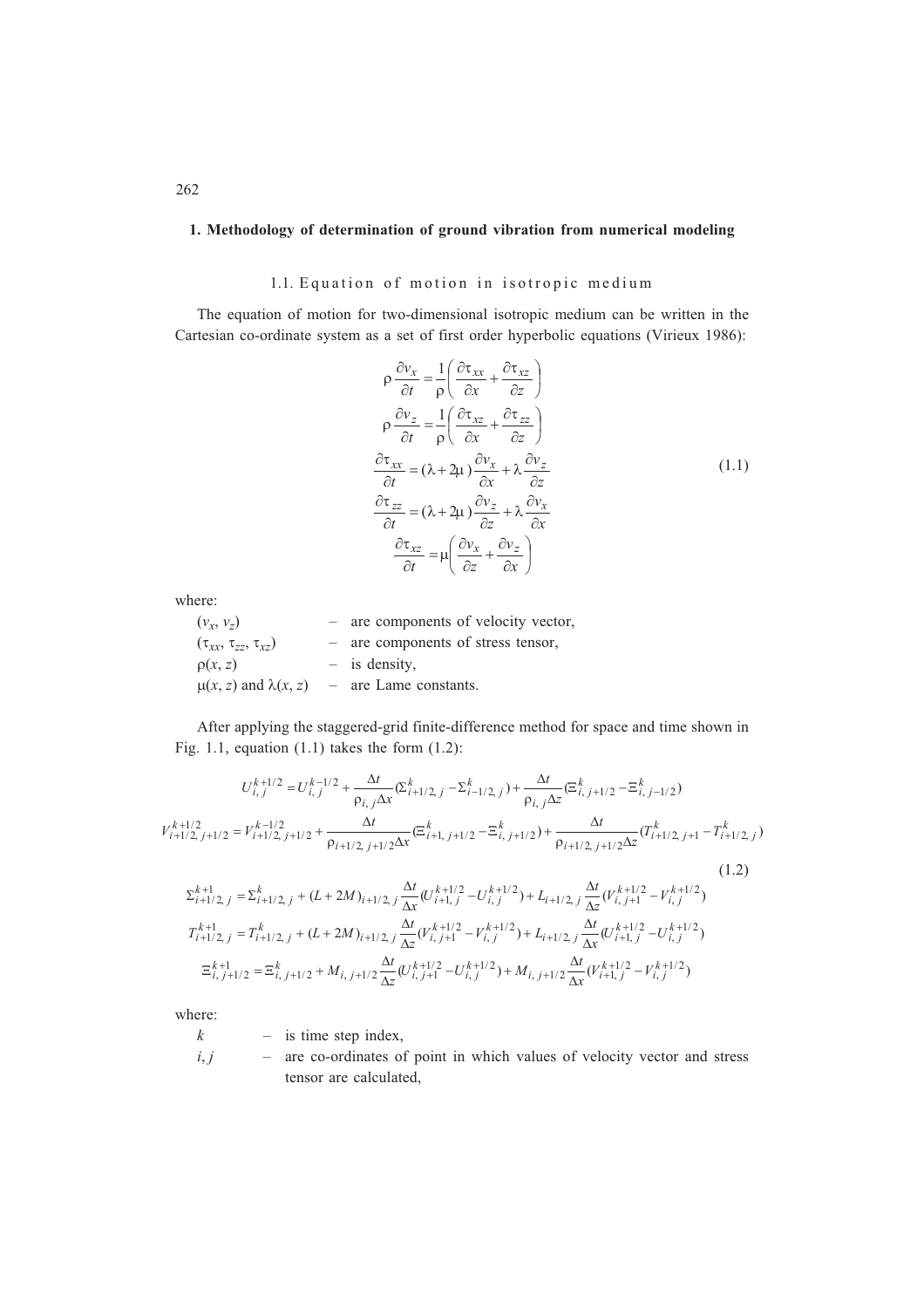### **1. Methodology of determination of ground vibration from numerical modeling**

## 1.1. Equation of motion in isotropic medium

The equation of motion for two-dimensional isotropic medium can be written in the Cartesian co-ordinate system as a set of first order hyperbolic equations (Virieux 1986):

$$
\rho \frac{\partial v_x}{\partial t} = \frac{1}{\rho} \left( \frac{\partial \tau_{xx}}{\partial x} + \frac{\partial \tau_{xz}}{\partial z} \right)
$$
  
\n
$$
\rho \frac{\partial v_z}{\partial t} = \frac{1}{\rho} \left( \frac{\partial \tau_{xz}}{\partial x} + \frac{\partial \tau_{zz}}{\partial z} \right)
$$
  
\n
$$
\frac{\partial \tau_{xx}}{\partial t} = (\lambda + 2\mu) \frac{\partial v_x}{\partial x} + \lambda \frac{\partial v_z}{\partial z}
$$
  
\n
$$
\frac{\partial \tau_{zz}}{\partial t} = (\lambda + 2\mu) \frac{\partial v_z}{\partial z} + \lambda \frac{\partial v_x}{\partial x}
$$
  
\n
$$
\frac{\partial \tau_{xz}}{\partial t} = \mu \left( \frac{\partial v_x}{\partial z} + \frac{\partial v_z}{\partial x} \right)
$$
  
\n(1.1)

where:

| $(v_x, v_z)$                        | - are components of velocity vector, |
|-------------------------------------|--------------------------------------|
| $(\tau_{xx}, \tau_{zz}, \tau_{xz})$ | - are components of stress tensor,   |
| $\rho(x, z)$                        | $-$ is density,                      |
| $\mu(x, z)$ and $\lambda(x, z)$     | - are Lame constants.                |

After applying the staggered-grid finite-difference method for space and time shown in Fig. 1.1, equation (1.1) takes the form (1.2):

$$
U_{i,j}^{k+1/2} = U_{i,j}^{k-1/2} + \frac{\Delta t}{\rho_{i,j}\Delta x} (\Sigma_{i+1/2,j}^{k} - \Sigma_{i-1/2,j}^{k}) + \frac{\Delta t}{\rho_{i,j}\Delta z} (\Xi_{i,j+1/2}^{k} - \Xi_{i,j-1/2}^{k})
$$
  
\n
$$
V_{i+1/2,j+1/2}^{k+1/2} = V_{i+1/2,j+1/2}^{k-1/2} + \frac{\Delta t}{\rho_{i+1/2,j+1/2}\Delta x} (\Xi_{i+1,j+1/2}^{k} - \Xi_{i,j+1/2}^{k}) + \frac{\Delta t}{\rho_{i+1/2,j+1/2}\Delta z} (T_{i+1/2,j+1}^{k} - T_{i+1/2,j}^{k})
$$
  
\n
$$
\Sigma_{i+1/2,j}^{k+1} = \Sigma_{i+1/2,j}^{k} + (L + 2M)_{i+1/2,j} \frac{\Delta t}{\Delta x} (U_{i+1,j}^{k+1/2} - U_{i,j}^{k+1/2}) + L_{i+1/2,j} \frac{\Delta t}{\Delta z} (V_{i,j+1}^{k+1/2} - V_{i,j}^{k+1/2})
$$
  
\n
$$
T_{i+1/2,j}^{k+1} = T_{i+1/2,j}^{k} + (L + 2M)_{i+1/2,j} \frac{\Delta t}{\Delta z} (V_{i,j+1}^{k+1/2} - V_{i,j}^{k+1/2}) + L_{i+1/2,j} \frac{\Delta t}{\Delta x} (U_{i+1,j}^{k+1/2} - U_{i,j}^{k+1/2})
$$
  
\n
$$
\Xi_{i,j+1/2}^{k+1} = \Xi_{i,j+1/2}^{k} + M_{i,j+1/2} \frac{\Delta t}{\Delta z} (U_{i,j+1}^{k+1/2} - U_{i,j}^{k+1/2}) + M_{i,j+1/2} \frac{\Delta t}{\Delta x} (V_{i+1,j}^{k+1/2} - V_{i,j}^{k+1/2})
$$

where:

*k* – is time step index,

*i*, *j* – are co-ordinates of point in which values of velocity vector and stress tensor are calculated,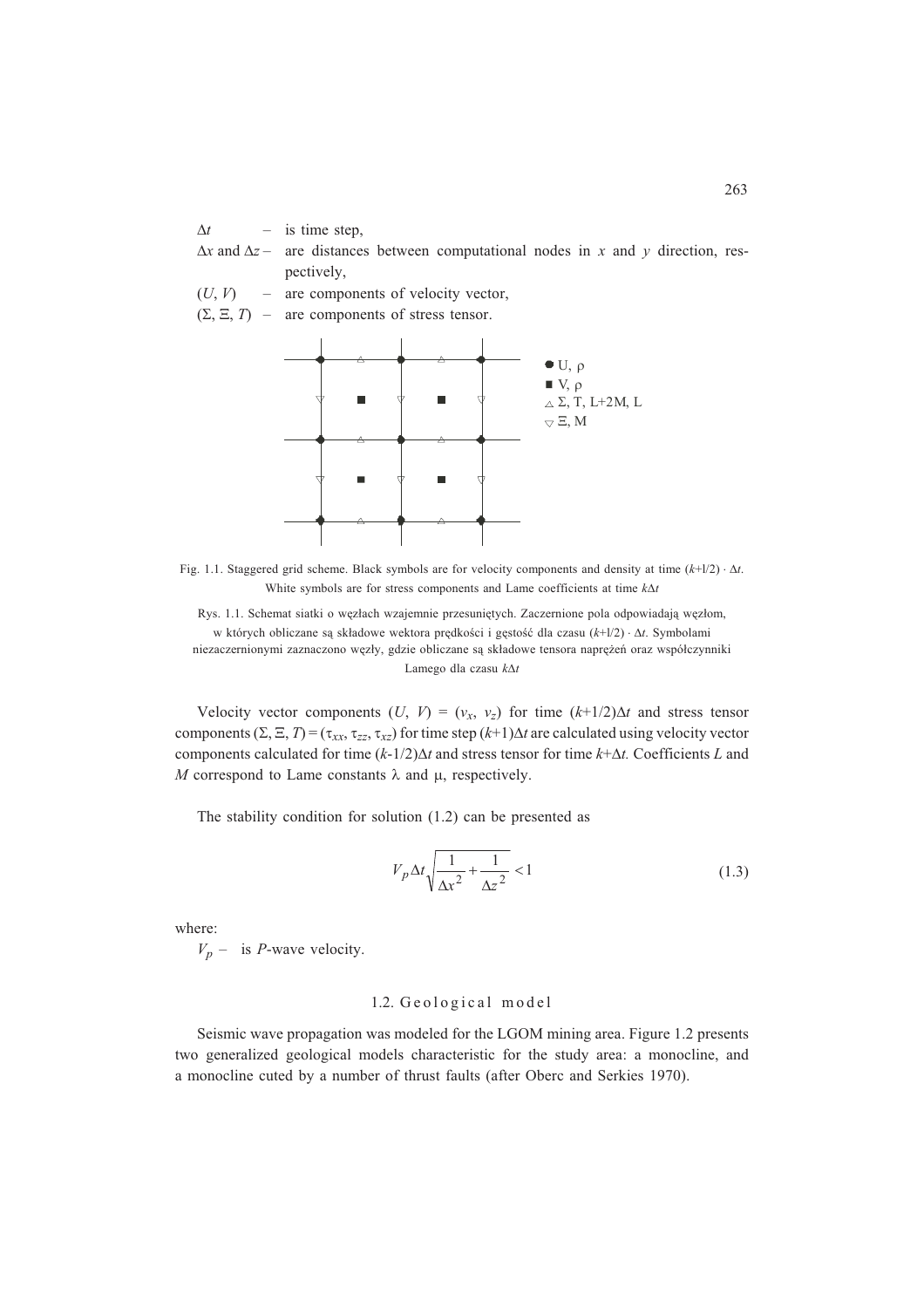$\Delta t$  – is time step,

 $\Delta x$  and  $\Delta z$  – are distances between computational nodes in *x* and *y* direction, respectively,

 $(U, V)$  – are components of velocity vector,

 $(\Sigma, \Xi, T)$  – are components of stress tensor.



Fig. 1.1. Staggered grid scheme. Black symbols are for velocity components and density at time  $(k+1/2) \cdot \Delta t$ . White symbols are for stress components and Lame coefficients at time  $k\Delta t$ 

Rys. 1.1. Schemat siatki o węzłach wzajemnie przesuniętych. Zaczernione pola odpowiadają węzłom, w których obliczane są składowe wektora prędkości i gęstość dla czasu (k+l/2) ·  $\Delta t$ . Symbolami niezaczernionymi zaznaczono węzły, gdzie obliczane są składowe tensora naprężeń oraz współczynniki Lamego dla czasu *kt*

Velocity vector components  $(U, V) = (v_x, v_z)$  for time  $(k+1/2)\Delta t$  and stress tensor components  $(\Sigma, \Xi, T) = (\tau_{xx}, \tau_{zz}, \tau_{xz})$  for time step  $(k+1)\Delta t$  are calculated using velocity vector components calculated for time  $(k-1/2)\Delta t$  and stress tensor for time  $k+\Delta t$ . Coefficients *L* and M correspond to Lame constants  $\lambda$  and  $\mu$ , respectively.

The stability condition for solution (1.2) can be presented as

$$
V_p \Delta t \sqrt{\frac{1}{\Delta x^2} + \frac{1}{\Delta z^2}} < 1
$$
\n(1.3)

where:

 $V_p$  – is *P*-wave velocity.

### 1.2. Geological model

Seismic wave propagation was modeled for the LGOM mining area. Figure 1.2 presents two generalized geological models characteristic for the study area: a monocline, and a monocline cuted by a number of thrust faults (after Oberc and Serkies 1970).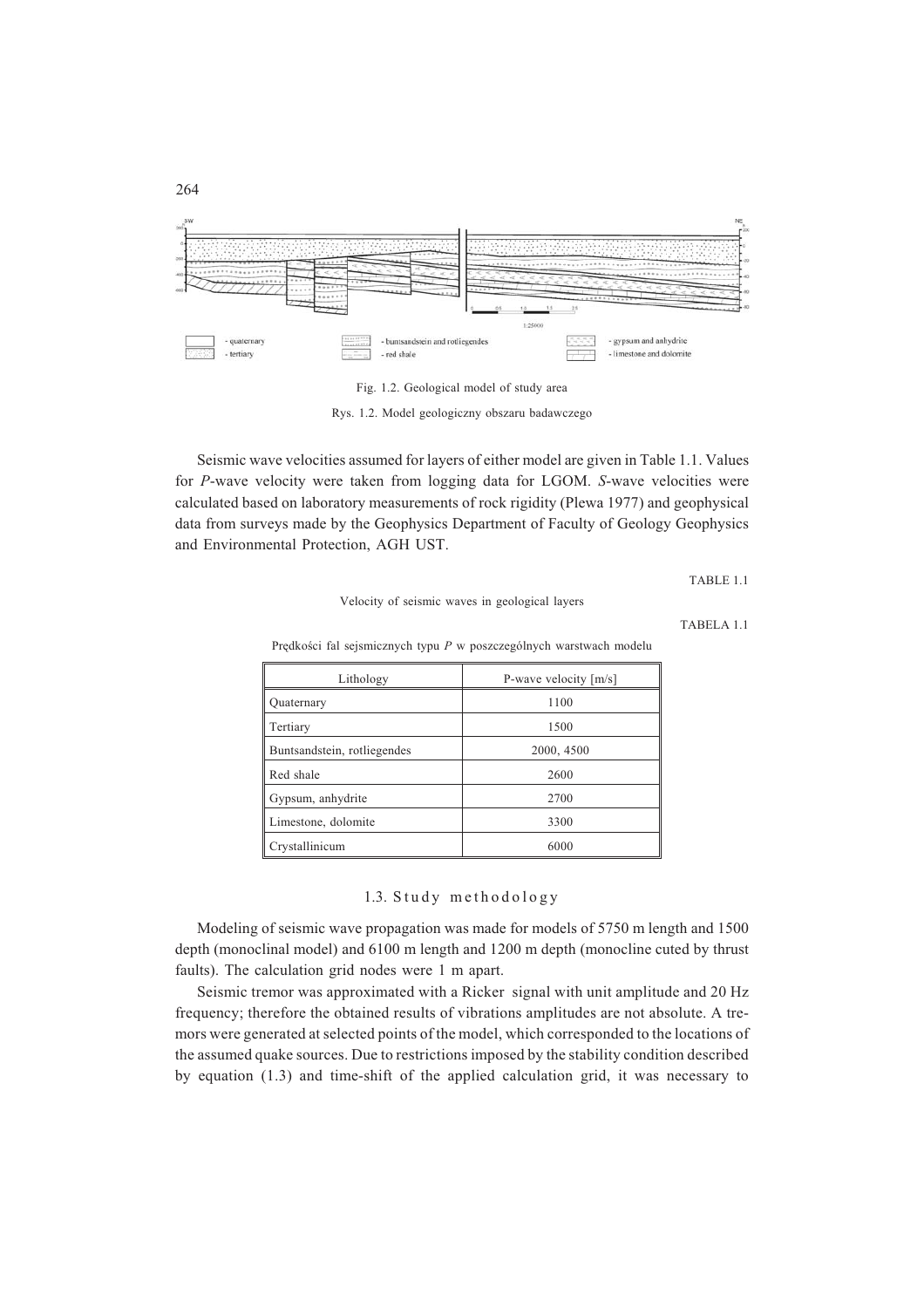

Fig. 1.2. Geological model of study area

Rys. 1.2. Model geologiczny obszaru badawczego

Seismic wave velocities assumed for layers of either model are given in Table 1.1. Values for *P*-wave velocity were taken from logging data for LGOM. *S*-wave velocities were calculated based on laboratory measurements of rock rigidity (Plewa 1977) and geophysical data from surveys made by the Geophysics Department of Faculty of Geology Geophysics and Environmental Protection, AGH UST.

TABLE 1.1

Velocity of seismic waves in geological layers

TABELA 1.1

Predkości fal sejsmicznych typu P w poszczególnych warstwach modelu

| Lithology                   | P-wave velocity $[m/s]$ |
|-----------------------------|-------------------------|
| <b>Ouaternary</b>           | 1100                    |
| Tertiary                    | 1500                    |
| Buntsandstein, rotliegendes | 2000, 4500              |
| Red shale                   | 2600                    |
| Gypsum, anhydrite           | 2700                    |
| Limestone, dolomite         | 3300                    |
| Crystallinicum              | 6000                    |

### 1.3. Study methodology

Modeling of seismic wave propagation was made for models of 5750 m length and 1500 depth (monoclinal model) and 6100 m length and 1200 m depth (monocline cuted by thrust faults). The calculation grid nodes were 1 m apart.

Seismic tremor was approximated with a Ricker signal with unit amplitude and 20 Hz frequency; therefore the obtained results of vibrations amplitudes are not absolute. A tremors were generated at selected points of the model, which corresponded to the locations of the assumed quake sources. Due to restrictions imposed by the stability condition described by equation (1.3) and time-shift of the applied calculation grid, it was necessary to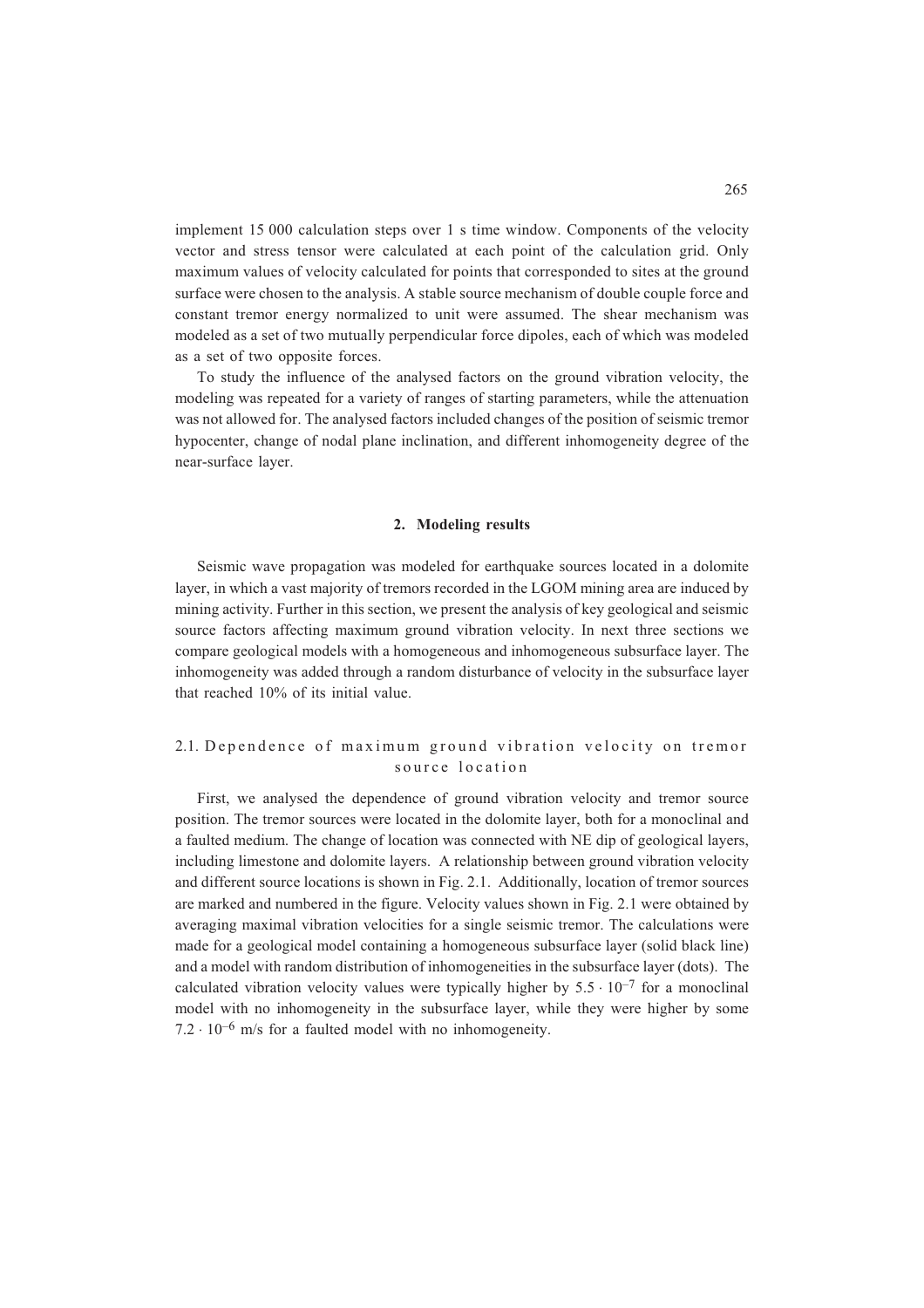implement 15 000 calculation steps over 1 s time window. Components of the velocity vector and stress tensor were calculated at each point of the calculation grid. Only maximum values of velocity calculated for points that corresponded to sites at the ground surface were chosen to the analysis. A stable source mechanism of double couple force and constant tremor energy normalized to unit were assumed. The shear mechanism was modeled as a set of two mutually perpendicular force dipoles, each of which was modeled as a set of two opposite forces.

To study the influence of the analysed factors on the ground vibration velocity, the modeling was repeated for a variety of ranges of starting parameters, while the attenuation was not allowed for. The analysed factors included changes of the position of seismic tremor hypocenter, change of nodal plane inclination, and different inhomogeneity degree of the near-surface layer.

### **2. Modeling results**

Seismic wave propagation was modeled for earthquake sources located in a dolomite layer, in which a vast majority of tremors recorded in the LGOM mining area are induced by mining activity. Further in this section, we present the analysis of key geological and seismic source factors affecting maximum ground vibration velocity. In next three sections we compare geological models with a homogeneous and inhomogeneous subsurface layer. The inhomogeneity was added through a random disturbance of velocity in the subsurface layer that reached 10% of its initial value.

## 2.1. Dependence of maximum ground vibration velocity on tremor source location

First, we analysed the dependence of ground vibration velocity and tremor source position. The tremor sources were located in the dolomite layer, both for a monoclinal and a faulted medium. The change of location was connected with NE dip of geological layers, including limestone and dolomite layers. A relationship between ground vibration velocity and different source locations is shown in Fig. 2.1. Additionally, location of tremor sources are marked and numbered in the figure. Velocity values shown in Fig. 2.1 were obtained by averaging maximal vibration velocities for a single seismic tremor. The calculations were made for a geological model containing a homogeneous subsurface layer (solid black line) and a model with random distribution of inhomogeneities in the subsurface layer (dots). The calculated vibration velocity values were typically higher by  $5.5 \cdot 10^{-7}$  for a monoclinal model with no inhomogeneity in the subsurface layer, while they were higher by some  $7.2 \cdot 10^{-6}$  m/s for a faulted model with no inhomogeneity.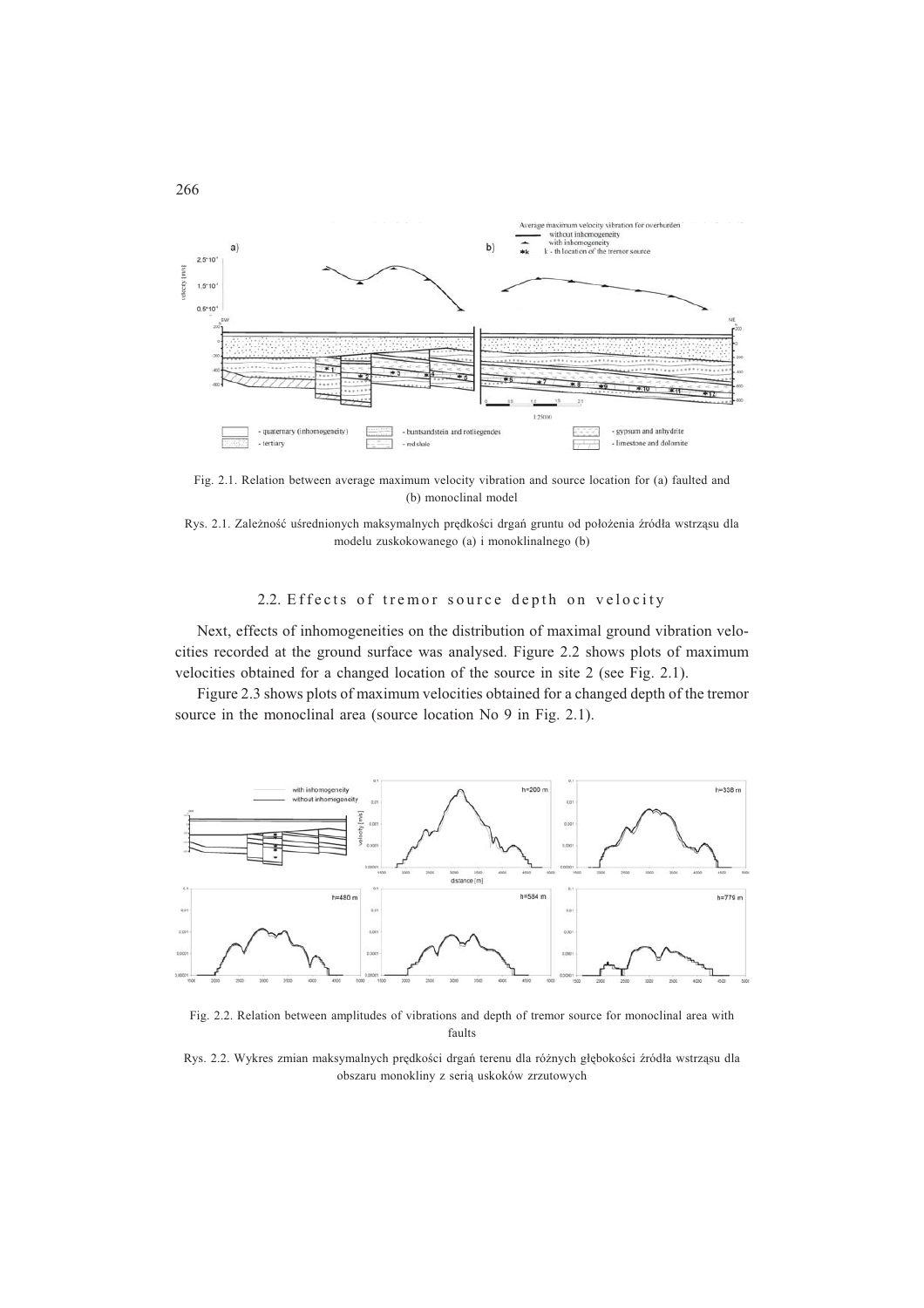

Fig. 2.1. Relation between average maximum velocity vibration and source location for (a) faulted and (b) monoclinal model

Rys. 2.1. Zależność uśrednionych maksymalnych prędkości drgań gruntu od położenia źródła wstrząsu dla modelu zuskokowanego (a) i monoklinalnego (b)

## 2.2. Effects of tremor source depth on velocity

Next, effects of inhomogeneities on the distribution of maximal ground vibration velocities recorded at the ground surface was analysed. Figure 2.2 shows plots of maximum velocities obtained for a changed location of the source in site 2 (see Fig. 2.1).

Figure 2.3 shows plots of maximum velocities obtained for a changed depth of the tremor source in the monoclinal area (source location No 9 in Fig. 2.1).



Fig. 2.2. Relation between amplitudes of vibrations and depth of tremor source for monoclinal area with faults

Rys. 2.2. Wykres zmian maksymalnych prędkości drgań terenu dla różnych głębokości źródła wstrząsu dla obszaru monokliny z serią uskoków zrzutowych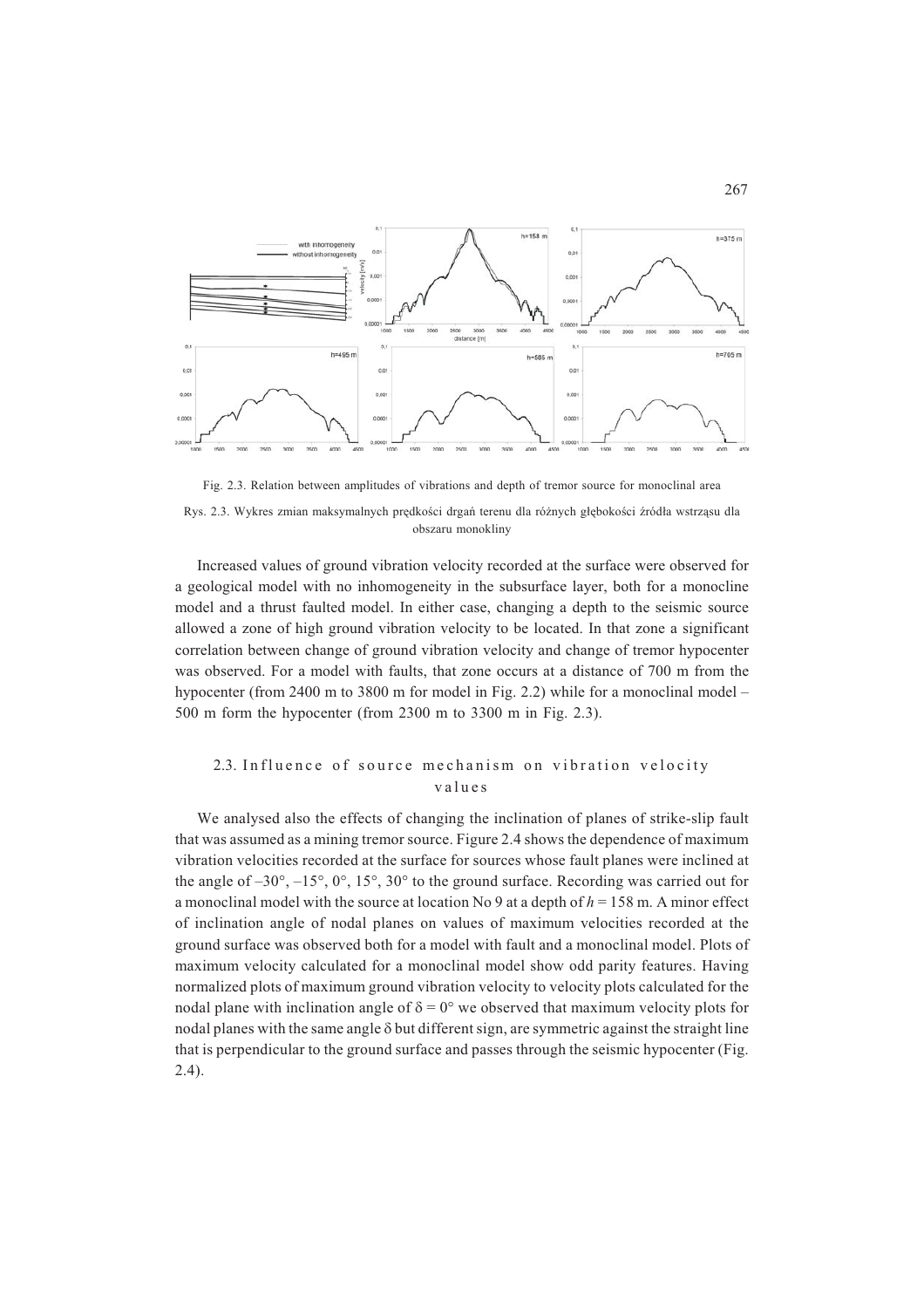

Fig. 2.3. Relation between amplitudes of vibrations and depth of tremor source for monoclinal area

Rys. 2.3. Wykres zmian maksymalnych prędkości drgań terenu dla różnych głębokości źródła wstrząsu dla obszaru monokliny

Increased values of ground vibration velocity recorded at the surface were observed for a geological model with no inhomogeneity in the subsurface layer, both for a monocline model and a thrust faulted model. In either case, changing a depth to the seismic source allowed a zone of high ground vibration velocity to be located. In that zone a significant correlation between change of ground vibration velocity and change of tremor hypocenter was observed. For a model with faults, that zone occurs at a distance of 700 m from the hypocenter (from 2400 m to 3800 m for model in Fig. 2.2) while for a monoclinal model – 500 m form the hypocenter (from 2300 m to 3300 m in Fig. 2.3).

## 2.3. Influence of source mechanism on vibration velocity values

We analysed also the effects of changing the inclination of planes of strike-slip fault that was assumed as a mining tremor source. Figure 2.4 shows the dependence of maximum vibration velocities recorded at the surface for sources whose fault planes were inclined at the angle of  $-30^{\circ}$ ,  $-15^{\circ}$ ,  $0^{\circ}$ ,  $15^{\circ}$ ,  $30^{\circ}$  to the ground surface. Recording was carried out for a monoclinal model with the source at location No 9 at a depth of *h* = 158 m. A minor effect of inclination angle of nodal planes on values of maximum velocities recorded at the ground surface was observed both for a model with fault and a monoclinal model. Plots of maximum velocity calculated for a monoclinal model show odd parity features. Having normalized plots of maximum ground vibration velocity to velocity plots calculated for the nodal plane with inclination angle of  $\delta = 0^{\circ}$  we observed that maximum velocity plots for nodal planes with the same angle  $\delta$  but different sign, are symmetric against the straight line that is perpendicular to the ground surface and passes through the seismic hypocenter (Fig. 2.4).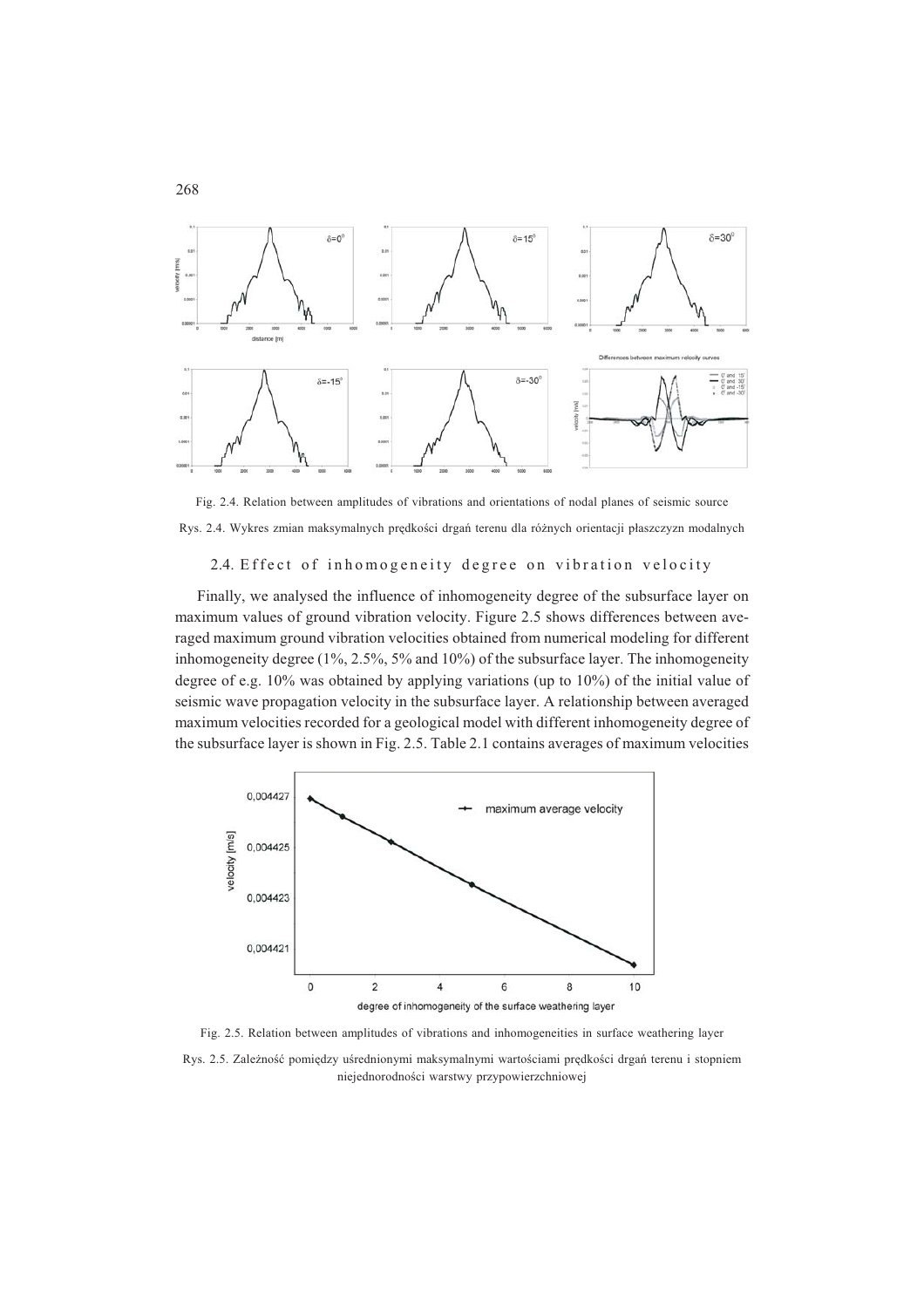

Fig. 2.4. Relation between amplitudes of vibrations and orientations of nodal planes of seismic source Rys. 2.4. Wykres zmian maksymalnych prędkości drgań terenu dla różnych orientacji płaszczyzn modalnych

### 2.4. Effect of inhomogeneity degree on vibration velocity

Finally, we analysed the influence of inhomogeneity degree of the subsurface layer on maximum values of ground vibration velocity. Figure 2.5 shows differences between averaged maximum ground vibration velocities obtained from numerical modeling for different inhomogeneity degree (1%, 2.5%, 5% and 10%) of the subsurface layer. The inhomogeneity degree of e.g. 10% was obtained by applying variations (up to 10%) of the initial value of seismic wave propagation velocity in the subsurface layer. A relationship between averaged maximum velocities recorded for a geological model with different inhomogeneity degree of the subsurface layer is shown in Fig. 2.5. Table 2.1 contains averages of maximum velocities



Fig. 2.5. Relation between amplitudes of vibrations and inhomogeneities in surface weathering layer Rys. 2.5. Zależność pomiędzy uśrednionymi maksymalnymi wartościami prędkości drgań terenu i stopniem niejednorodności warstwy przypowierzchniowej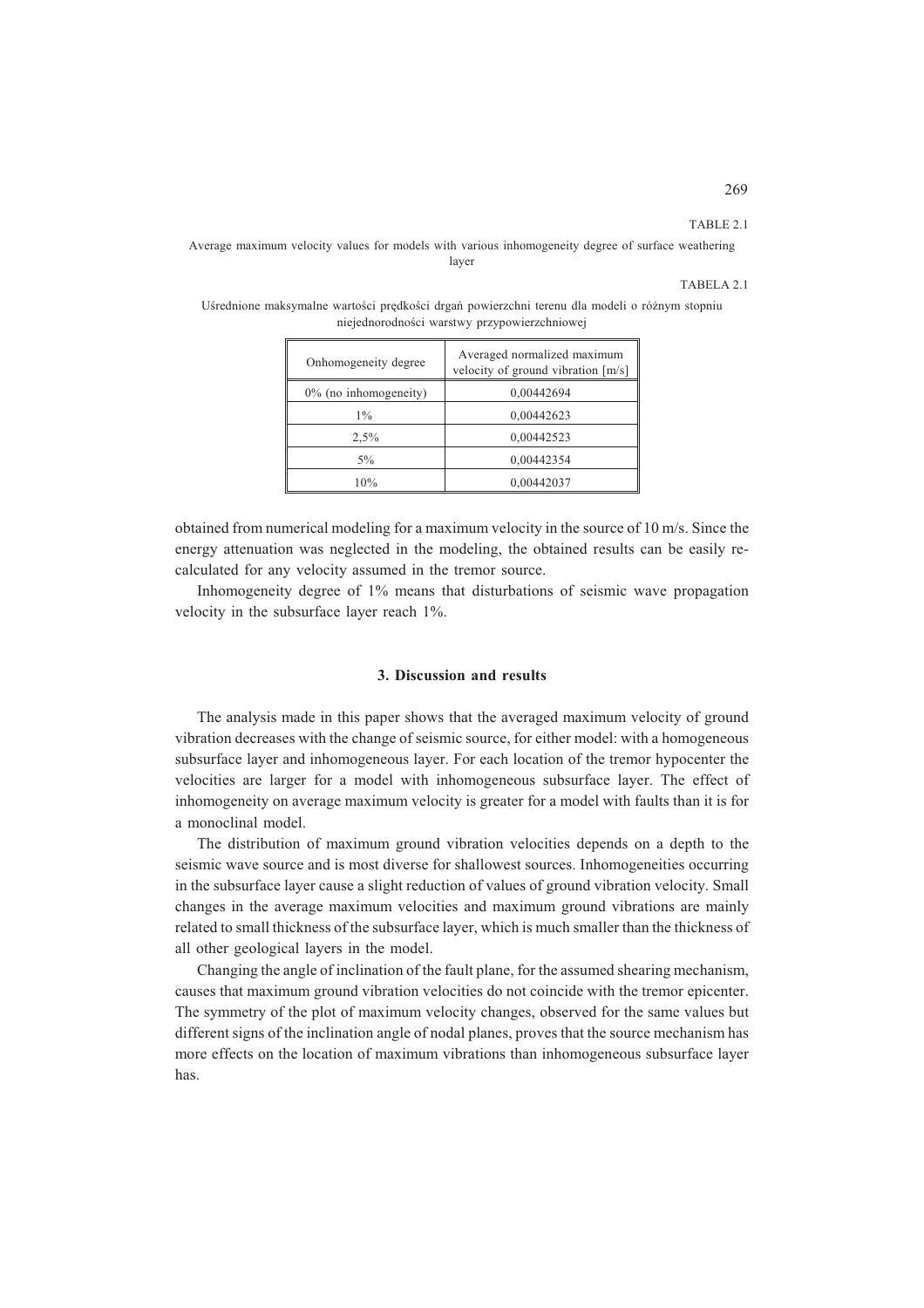#### TABLE 2.1

Average maximum velocity values for models with various inhomogeneity degree of surface weathering layer

#### TABELA 2.1

Uśrednione maksymalne wartości prędkości drgań powierzchni terenu dla modeli o różnym stopniu niejednorodności warstwy przypowierzchniowej

| Averaged normalized maximum<br>velocity of ground vibration [m/s] |
|-------------------------------------------------------------------|
| 0,00442694                                                        |
| 0,00442623                                                        |
| 0,00442523                                                        |
| 0,00442354                                                        |
| 0,00442037                                                        |
|                                                                   |

obtained from numerical modeling for a maximum velocity in the source of 10 m/s. Since the energy attenuation was neglected in the modeling, the obtained results can be easily recalculated for any velocity assumed in the tremor source.

Inhomogeneity degree of 1% means that disturbations of seismic wave propagation velocity in the subsurface layer reach 1%.

#### **3. Discussion and results**

The analysis made in this paper shows that the averaged maximum velocity of ground vibration decreases with the change of seismic source, for either model: with a homogeneous subsurface layer and inhomogeneous layer. For each location of the tremor hypocenter the velocities are larger for a model with inhomogeneous subsurface layer. The effect of inhomogeneity on average maximum velocity is greater for a model with faults than it is for a monoclinal model.

The distribution of maximum ground vibration velocities depends on a depth to the seismic wave source and is most diverse for shallowest sources. Inhomogeneities occurring in the subsurface layer cause a slight reduction of values of ground vibration velocity. Small changes in the average maximum velocities and maximum ground vibrations are mainly related to small thickness of the subsurface layer, which is much smaller than the thickness of all other geological layers in the model.

Changing the angle of inclination of the fault plane, for the assumed shearing mechanism, causes that maximum ground vibration velocities do not coincide with the tremor epicenter. The symmetry of the plot of maximum velocity changes, observed for the same values but different signs of the inclination angle of nodal planes, proves that the source mechanism has more effects on the location of maximum vibrations than inhomogeneous subsurface layer has.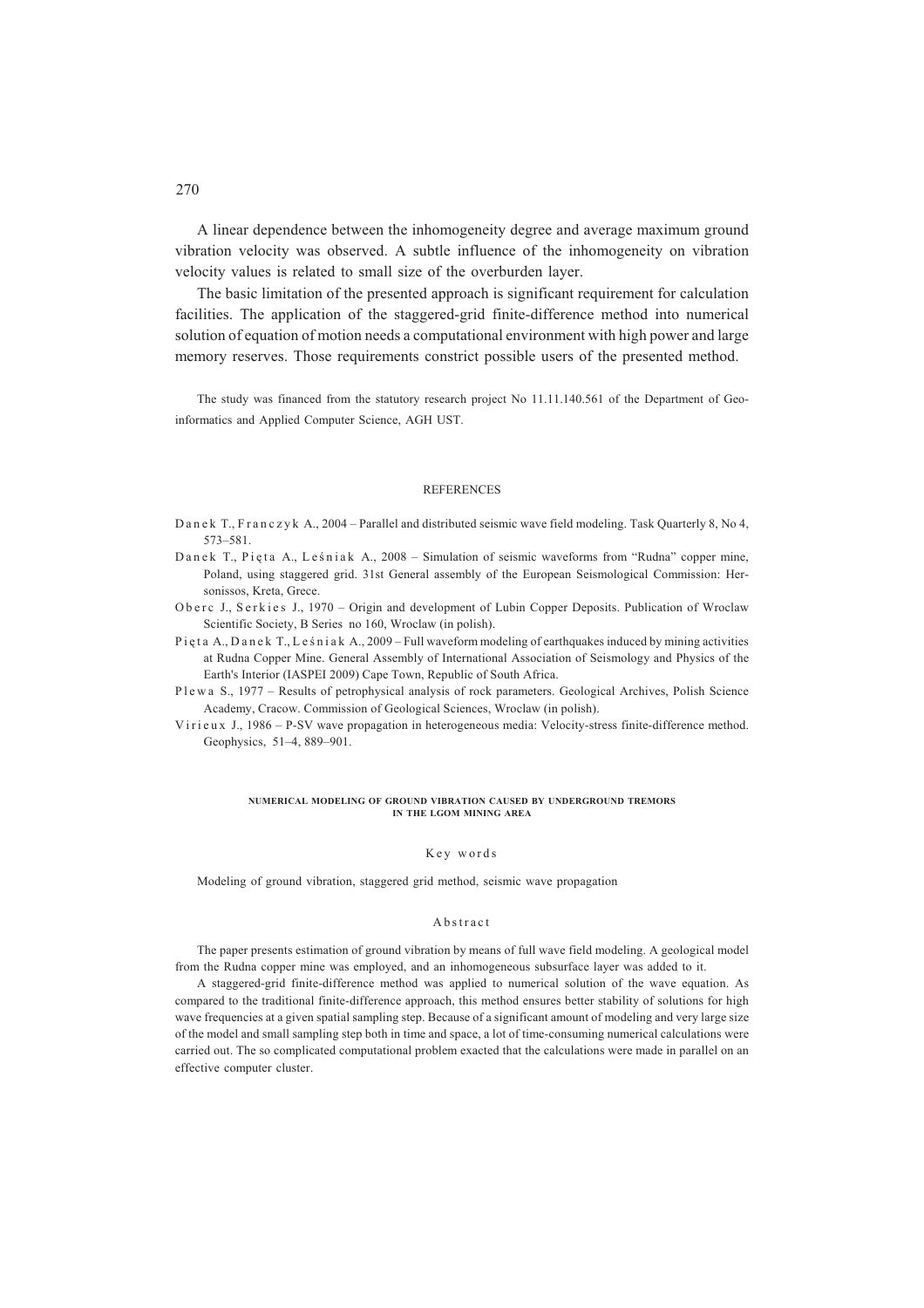A linear dependence between the inhomogeneity degree and average maximum ground vibration velocity was observed. A subtle influence of the inhomogeneity on vibration velocity values is related to small size of the overburden layer.

The basic limitation of the presented approach is significant requirement for calculation facilities. The application of the staggered-grid finite-difference method into numerical solution of equation of motion needs a computational environment with high power and large memory reserves. Those requirements constrict possible users of the presented method.

The study was financed from the statutory research project No 11.11.140.561 of the Department of Geoinformatics and Applied Computer Science, AGH UST.

#### **REFERENCES**

- D a n e k T., F r a n c z v k A., 2004 Parallel and distributed seismic wave field modeling. Task Quarterly 8, No 4, 573–581.
- Danek T., Pięta A., Leśniak A., 2008 Simulation of seismic waveforms from "Rudna" copper mine, Poland, using staggered grid. 31st General assembly of the European Seismological Commission: Hersonissos, Kreta, Grece.
- Oberc J., Serkies J., 1970 Origin and development of Lubin Copper Deposits. Publication of Wroclaw Scientific Society, B Series no 160, Wroclaw (in polish).
- Pieta A., Danek T., Leśniak A., 2009 Full waveform modeling of earthquakes induced by mining activities at Rudna Copper Mine. General Assembly of International Association of Seismology and Physics of the Earth's Interior (IASPEI 2009) Cape Town, Republic of South Africa.
- P l e w a S., 1977 Results of petrophysical analysis of rock parameters. Geological Archives, Polish Science Academy, Cracow. Commission of Geological Sciences, Wroclaw (in polish).
- V i r i e u x J., 1986 P-SV wave propagation in heterogeneous media: Velocity-stress finite-difference method. Geophysics, 51–4, 889–901.

#### **NUMERICAL MODELING OF GROUND VIBRATION CAUSED BY UNDERGROUND TREMORS IN THE LGOM MINING AREA**

#### Key words

Modeling of ground vibration, staggered grid method, seismic wave propagation

#### Abstract

The paper presents estimation of ground vibration by means of full wave field modeling. A geological model from the Rudna copper mine was employed, and an inhomogeneous subsurface layer was added to it.

A staggered-grid finite-difference method was applied to numerical solution of the wave equation. As compared to the traditional finite-difference approach, this method ensures better stability of solutions for high wave frequencies at a given spatial sampling step. Because of a significant amount of modeling and very large size of the model and small sampling step both in time and space, a lot of time-consuming numerical calculations were carried out. The so complicated computational problem exacted that the calculations were made in parallel on an effective computer cluster.